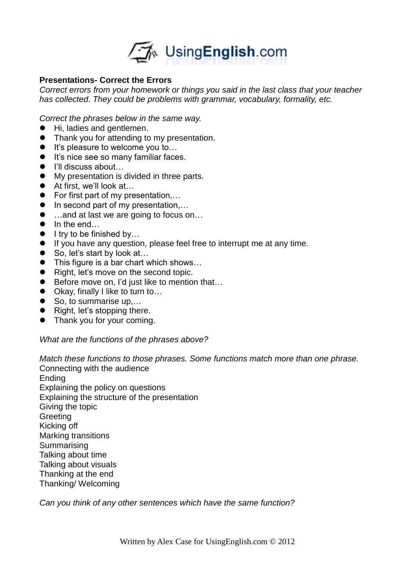

## **Presentations- Correct the Errors**

*Correct errors from your homework or things you said in the last class that your teacher has collected. They could be problems with grammar, vocabulary, formality, etc.* 

*Correct the phrases below in the same way.*

- Hi, ladies and gentlemen.
- Thank you for attending to my presentation.
- It's pleasure to welcome you to...
- It's nice see so many familiar faces.
- I'll discuss about...
- My presentation is divided in three parts.
- At first, we'll look at...
- For first part of my presentation,...
- $\bullet$  In second part of my presentation,...
- …and at last we are going to focus on...
- In the end...
- $\bullet$  I try to be finished by...
- If you have any question, please feel free to interrupt me at any time.
- So, let's start by look at...
- This figure is a bar chart which shows...
- Right, let's move on the second topic.
- Before move on, I'd just like to mention that...
- Okay, finally I like to turn to...
- So, to summarise up,...
- Right, let's stopping there.
- Thank you for your coming.

## *What are the functions of the phrases above?*

*Match these functions to those phrases. Some functions match more than one phrase.* Connecting with the audience Ending Explaining the policy on questions Explaining the structure of the presentation Giving the topic **Greeting** Kicking off Marking transitions **Summarising** Talking about time Talking about visuals Thanking at the end

Thanking/ Welcoming

*Can you think of any other sentences which have the same function?*